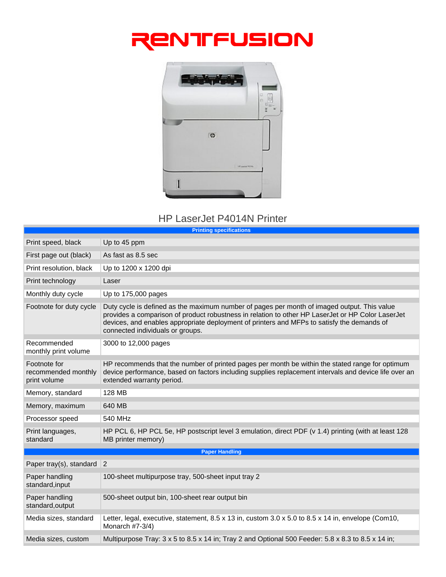



## HP LaserJet P4014N Printer

| <b>Printing specifications</b>                      |                                                                                                                                                                                                                                                                                                                                    |  |
|-----------------------------------------------------|------------------------------------------------------------------------------------------------------------------------------------------------------------------------------------------------------------------------------------------------------------------------------------------------------------------------------------|--|
| Print speed, black                                  | Up to 45 ppm                                                                                                                                                                                                                                                                                                                       |  |
| First page out (black)                              | As fast as 8.5 sec                                                                                                                                                                                                                                                                                                                 |  |
| Print resolution, black                             | Up to 1200 x 1200 dpi                                                                                                                                                                                                                                                                                                              |  |
| Print technology                                    | Laser                                                                                                                                                                                                                                                                                                                              |  |
| Monthly duty cycle                                  | Up to 175,000 pages                                                                                                                                                                                                                                                                                                                |  |
| Footnote for duty cycle                             | Duty cycle is defined as the maximum number of pages per month of imaged output. This value<br>provides a comparison of product robustness in relation to other HP LaserJet or HP Color LaserJet<br>devices, and enables appropriate deployment of printers and MFPs to satisfy the demands of<br>connected individuals or groups. |  |
| Recommended<br>monthly print volume                 | 3000 to 12,000 pages                                                                                                                                                                                                                                                                                                               |  |
| Footnote for<br>recommended monthly<br>print volume | HP recommends that the number of printed pages per month be within the stated range for optimum<br>device performance, based on factors including supplies replacement intervals and device life over an<br>extended warranty period.                                                                                              |  |
| Memory, standard                                    | 128 MB                                                                                                                                                                                                                                                                                                                             |  |
| Memory, maximum                                     | 640 MB                                                                                                                                                                                                                                                                                                                             |  |
| Processor speed                                     | 540 MHz                                                                                                                                                                                                                                                                                                                            |  |
| Print languages,<br>standard                        | HP PCL 6, HP PCL 5e, HP postscript level 3 emulation, direct PDF (v 1.4) printing (with at least 128<br>MB printer memory)                                                                                                                                                                                                         |  |
| <b>Paper Handling</b>                               |                                                                                                                                                                                                                                                                                                                                    |  |
| Paper tray(s), standard $ 2 $                       |                                                                                                                                                                                                                                                                                                                                    |  |
| Paper handling<br>standard, input                   | 100-sheet multipurpose tray, 500-sheet input tray 2                                                                                                                                                                                                                                                                                |  |
| Paper handling<br>standard, output                  | 500-sheet output bin, 100-sheet rear output bin                                                                                                                                                                                                                                                                                    |  |
| Media sizes, standard                               | Letter, legal, executive, statement, 8.5 x 13 in, custom 3.0 x 5.0 to 8.5 x 14 in, envelope (Com10,<br>Monarch #7-3/4)                                                                                                                                                                                                             |  |
| Media sizes, custom                                 | Multipurpose Tray: 3 x 5 to 8.5 x 14 in; Tray 2 and Optional 500 Feeder: 5.8 x 8.3 to 8.5 x 14 in;                                                                                                                                                                                                                                 |  |